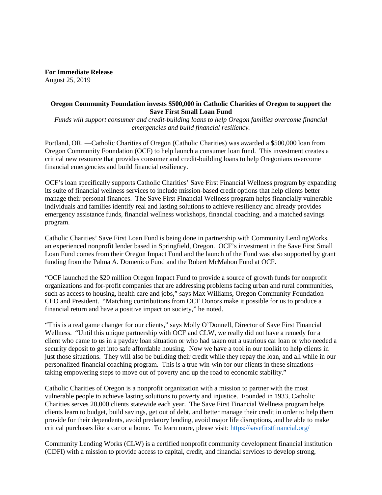**For Immediate Release** August 25, 2019

## **Oregon Community Foundation invests \$500,000 in Catholic Charities of Oregon to support the Save First Small Loan Fund**

*Funds will support consumer and credit-building loans to help Oregon families overcome financial emergencies and build financial resiliency.*

Portland, OR. —Catholic Charities of Oregon (Catholic Charities) was awarded a \$500,000 loan from Oregon Community Foundation (OCF) to help launch a consumer loan fund. This investment creates a critical new resource that provides consumer and credit-building loans to help Oregonians overcome financial emergencies and build financial resiliency.

OCF's loan specifically supports Catholic Charities' Save First Financial Wellness program by expanding its suite of financial wellness services to include mission-based credit options that help clients better manage their personal finances. The Save First Financial Wellness program helps financially vulnerable individuals and families identify real and lasting solutions to achieve resiliency and already provides emergency assistance funds, financial wellness workshops, financial coaching, and a matched savings program.

Catholic Charities' Save First Loan Fund is being done in partnership with Community LendingWorks, an experienced nonprofit lender based in Springfield, Oregon. OCF's investment in the Save First Small Loan Fund comes from their Oregon Impact Fund and the launch of the Fund was also supported by grant funding from the Palma A. Domenico Fund and the Robert McMahon Fund at OCF.

"OCF launched the \$20 million Oregon Impact Fund to provide a source of growth funds for nonprofit organizations and for-profit companies that are addressing problems facing urban and rural communities, such as access to housing, health care and jobs," says Max Williams, Oregon Community Foundation CEO and President. "Matching contributions from OCF Donors make it possible for us to produce a financial return and have a positive impact on society," he noted.

"This is a real game changer for our clients," says Molly O'Donnell, Director of Save First Financial Wellness. "Until this unique partnership with OCF and CLW, we really did not have a remedy for a client who came to us in a payday loan situation or who had taken out a usurious car loan or who needed a security deposit to get into safe affordable housing. Now we have a tool in our toolkit to help clients in just those situations. They will also be building their credit while they repay the loan, and all while in our personalized financial coaching program. This is a true win-win for our clients in these situations taking empowering steps to move out of poverty and up the road to economic stability."

Catholic Charities of Oregon is a nonprofit organization with a mission to partner with the most vulnerable people to achieve lasting solutions to poverty and injustice. Founded in 1933, Catholic Charities serves 20,000 clients statewide each year. The Save First Financial Wellness program helps clients learn to budget, build savings, get out of debt, and better manage their credit in order to help them provide for their dependents, avoid predatory lending, avoid major life disruptions, and be able to make critical purchases like a car or a home. To learn more, please visit:<https://savefirstfinancial.org/>

Community Lending Works (CLW) is a certified nonprofit community development financial institution (CDFI) with a mission to provide access to capital, credit, and financial services to develop strong,